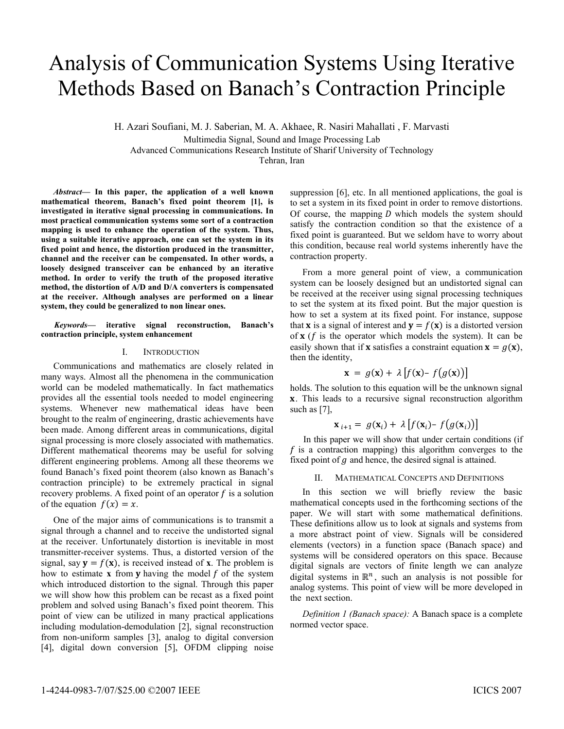# Analysis of Communication Systems Using Iterative Methods Based on Banach's Contraction Principle

H. Azari Soufiani, M. J. Saberian, M. A. Akhaee, R. Nasiri Mahallati , F. Marvasti Multimedia Signal, Sound and Image Processing Lab Advanced Communications Research Institute of Sharif University of Technology Tehran, Iran

*Abstract***— In this paper, the application of a well known mathematical theorem, Banach's fixed point theorem [1], is investigated in iterative signal processing in communications. In most practical communication systems some sort of a contraction mapping is used to enhance the operation of the system. Thus, using a suitable iterative approach, one can set the system in its fixed point and hence, the distortion produced in the transmitter, channel and the receiver can be compensated. In other words, a loosely designed transceiver can be enhanced by an iterative method. In order to verify the truth of the proposed iterative method, the distortion of A/D and D/A converters is compensated at the receiver. Although analyses are performed on a linear system, they could be generalized to non linear ones.** 

*Keywords—* **iterative signal reconstruction, Banach's contraction principle, system enhancement**

### I. INTRODUCTION

Communications and mathematics are closely related in many ways. Almost all the phenomena in the communication world can be modeled mathematically. In fact mathematics provides all the essential tools needed to model engineering systems. Whenever new mathematical ideas have been brought to the realm of engineering, drastic achievements have been made. Among different areas in communications, digital signal processing is more closely associated with mathematics. Different mathematical theorems may be useful for solving different engineering problems. Among all these theorems we found Banach's fixed point theorem (also known as Banach's contraction principle) to be extremely practical in signal recovery problems. A fixed point of an operator  $f$  is a solution of the equation  $f(x) = x$ .

One of the major aims of communications is to transmit a signal through a channel and to receive the undistorted signal at the receiver. Unfortunately distortion is inevitable in most transmitter-receiver systems. Thus, a distorted version of the signal, say  $y = f(x)$ , is received instead of **x**. The problem is how to estimate **x** from **v** having the model  $f$  of the system which introduced distortion to the signal. Through this paper we will show how this problem can be recast as a fixed point problem and solved using Banach's fixed point theorem. This point of view can be utilized in many practical applications including modulation-demodulation [2], signal reconstruction from non-uniform samples [3], analog to digital conversion [4], digital down conversion [5], OFDM clipping noise

suppression [6], etc. In all mentioned applications, the goal is to set a system in its fixed point in order to remove distortions. Of course, the mapping  $D$  which models the system should satisfy the contraction condition so that the existence of a fixed point is guaranteed. But we seldom have to worry about this condition, because real world systems inherently have the contraction property.

From a more general point of view, a communication system can be loosely designed but an undistorted signal can be received at the receiver using signal processing techniques to set the system at its fixed point. But the major question is how to set a system at its fixed point. For instance, suppose that **x** is a signal of interest and  $\mathbf{v} = f(\mathbf{x})$  is a distorted version of  $\mathbf{x}$  (*f* is the operator which models the system). It can be easily shown that if **x** satisfies a constraint equation  $\mathbf{x} = g(\mathbf{x})$ , then the identity,

$$
\mathbf{x} = g(\mathbf{x}) + \lambda [f(\mathbf{x}) - f(g(\mathbf{x}))]
$$

holds. The solution to this equation will be the unknown signal **x**. This leads to a recursive signal reconstruction algorithm such as [7].

$$
\mathbf{x}_{i+1} = g(\mathbf{x}_i) + \lambda \left[ f(\mathbf{x}_i) - f(g(\mathbf{x}_i)) \right]
$$

In this paper we will show that under certain conditions (if  $f$  is a contraction mapping) this algorithm converges to the fixed point of  $q$  and hence, the desired signal is attained.

## II. MATHEMATICAL CONCEPTS AND DEFINITIONS

In this section we will briefly review the basic mathematical concepts used in the forthcoming sections of the paper. We will start with some mathematical definitions. These definitions allow us to look at signals and systems from a more abstract point of view. Signals will be considered elements (vectors) in a function space (Banach space) and systems will be considered operators on this space. Because digital signals are vectors of finite length we can analyze digital systems in  $\mathbb{R}^n$ , such an analysis is not possible for analog systems. This point of view will be more developed in the next section.

*Definition 1 (Banach space):* A Banach space is a complete normed vector space.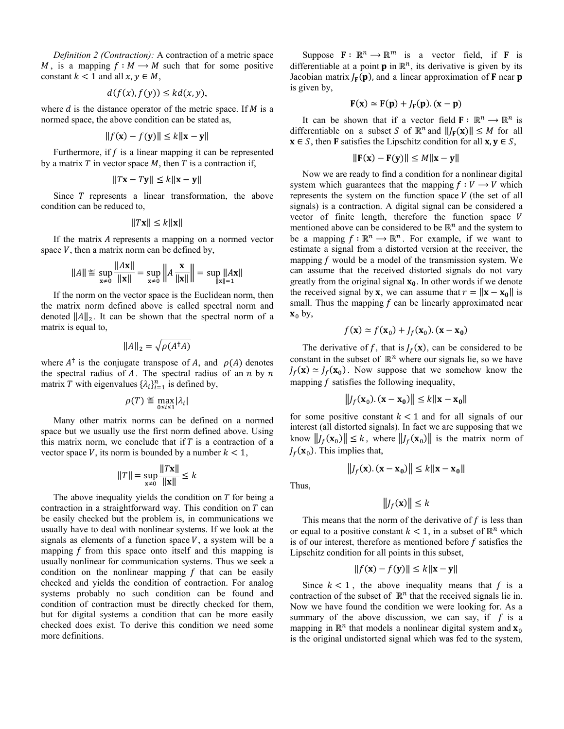*Definition 2 (Contraction):* A contraction of a metric space M, is a mapping  $f : M \rightarrow M$  such that for some positive constant  $k < 1$  and all  $x, y \in M$ ,

$$
d(f(x), f(y)) \leq kd(x, y),
$$

where  $d$  is the distance operator of the metric space. If  $M$  is a normed space, the above condition can be stated as,

$$
||f(\mathbf{x}) - f(\mathbf{y})|| \le k||\mathbf{x} - \mathbf{y}||
$$

Furthermore, if  $f$  is a linear mapping it can be represented by a matrix  $T$  in vector space  $M$ , then  $T$  is a contraction if,

$$
||Tx - Ty|| \le k||x - y||
$$

Since  *represents a linear transformation, the above* condition can be reduced to,

$$
||Tx|| \le k ||x||
$$

If the matrix  $A$  represents a mapping on a normed vector space  $V$ , then a matrix norm can be defined by,

$$
||A|| \stackrel{\text{def}}{=} \sup_{\mathbf{x} \neq 0} \frac{||A\mathbf{x}||}{||\mathbf{x}||} = \sup_{\mathbf{x} \neq 0} \left| \left| A \frac{\mathbf{x}}{||\mathbf{x}||} \right| \right| = \sup_{\|\mathbf{x}\| = 1} \left| A\mathbf{x} \right|
$$

If the norm on the vector space is the Euclidean norm, then the matrix norm defined above is called spectral norm and denoted  $||A||_2$ . It can be shown that the spectral norm of a matrix is equal to,

$$
||A||_2 = \sqrt{\rho(A^\dagger A)}
$$

where  $A^{\dagger}$  is the conjugate transpose of A, and  $\rho(A)$  denotes the spectral radius of A. The spectral radius of an  $n$  by  $n$ matrix T with eigenvalues  $\{\lambda_i\}_{i=1}^n$  is defined by,

$$
\rho(T) \stackrel{\text{\tiny def}}{=} \max_{0 \leq i \leq 1} |\lambda_i|
$$

Many other matrix norms can be defined on a normed space but we usually use the first norm defined above. Using this matrix norm, we conclude that if  $T$  is a contraction of a vector space  $V$ , its norm is bounded by a number  $k < 1$ ,

$$
||T|| = \sup_{x \neq 0} \frac{||Tx||}{||x||} \le k
$$

The above inequality yields the condition on  $T$  for being a contraction in a straightforward way. This condition on  $T$  can be easily checked but the problem is, in communications we usually have to deal with nonlinear systems. If we look at the signals as elements of a function space  $V$ , a system will be a mapping  $f$  from this space onto itself and this mapping is usually nonlinear for communication systems. Thus we seek a condition on the nonlinear mapping  $f$  that can be easily checked and yields the condition of contraction. For analog systems probably no such condition can be found and condition of contraction must be directly checked for them, but for digital systems a condition that can be more easily checked does exist. To derive this condition we need some more definitions.

Suppose  $\mathbf{F} : \mathbb{R}^n \to \mathbb{R}^m$  is a vector field, if **F** is differentiable at a point **p** in  $\mathbb{R}^n$ , its derivative is given by its Jacobian matrix  $J_F(\mathbf{p})$ , and a linear approximation of **F** near **p** is given by,

$$
F(x) \simeq F(p) + J_F(p). (x - p)
$$

It can be shown that if a vector field  $\mathbf{F} : \mathbb{R}^n \to \mathbb{R}^n$  is differentiable on a subset S of  $\mathbb{R}^n$  and  $||J_F(\mathbf{x})|| \leq M$  for all  $\mathbf{x} \in S$ , then **F** satisfies the Lipschitz condition for all  $\mathbf{x}, \mathbf{y} \in S$ ,

$$
\|\mathbf{F}(\mathbf{x}) - \mathbf{F}(\mathbf{y})\| \le M \|\mathbf{x} - \mathbf{y}\|
$$

Now we are ready to find a condition for a nonlinear digital system which guarantees that the mapping  $f: V \to V$  which represents the system on the function space  $V$  (the set of all signals) is a contraction. A digital signal can be considered a vector of finite length, therefore the function space V mentioned above can be considered to be  $\mathbb{R}^n$  and the system to be a mapping  $f : \mathbb{R}^n \to \mathbb{R}^n$ . For example, if we want to estimate a signal from a distorted version at the receiver, the mapping  $f$  would be a model of the transmission system. We can assume that the received distorted signals do not vary greatly from the original signal  $x_0$ . In other words if we denote the received signal by **x**, we can assume that  $r = ||\mathbf{x} - \mathbf{x}_0||$  is small. Thus the mapping  $f$  can be linearly approximated near  $\mathbf{x}_0$  by,

$$
f(\mathbf{x}) \simeq f(\mathbf{x}_0) + J_f(\mathbf{x}_0).(\mathbf{x} - \mathbf{x}_0)
$$

The derivative of f, that is  $J_f(\mathbf{x})$ , can be considered to be constant in the subset of  $\mathbb{R}^n$  where our signals lie, so we have  $J_f(\mathbf{x}) \simeq J_f(\mathbf{x}_0)$ . Now suppose that we somehow know the mapping  $f$  satisfies the following inequality,

$$
\left\|J_f(\mathbf{x}_0).\left(\mathbf{x} - \mathbf{x}_0\right)\right\| \le k \|\mathbf{x} - \mathbf{x}_0\|
$$

for some positive constant  $k < 1$  and for all signals of our interest (all distorted signals). In fact we are supposing that we know  $||J_f(\mathbf{x}_0)|| \leq k$ , where  $||J_f(\mathbf{x}_0)||$  is the matrix norm of  $J_f(\mathbf{x}_0)$ . This implies that,

$$
\left\|J_f(\mathbf{x}).\left(\mathbf{x} - \mathbf{x_0}\right)\right\| \le k \|\mathbf{x} - \mathbf{x_0}\|
$$

Thus,

 $||J_f(\mathbf{x})|| \leq k$ 

This means that the norm of the derivative of  $f$  is less than or equal to a positive constant  $k < 1$ , in a subset of  $\mathbb{R}^n$  which is of our interest, therefore as mentioned before  $f$  satisfies the Lipschitz condition for all points in this subset,

$$
||f(\mathbf{x}) - f(\mathbf{y})|| \le k||\mathbf{x} - \mathbf{y}||
$$

Since  $k < 1$ , the above inequality means that f is a contraction of the subset of  $\mathbb{R}^n$  that the received signals lie in. Now we have found the condition we were looking for. As a summary of the above discussion, we can say, if  $f$  is a mapping in  $\mathbb{R}^n$  that models a nonlinear digital system and  $\mathbf{x}_0$ is the original undistorted signal which was fed to the system,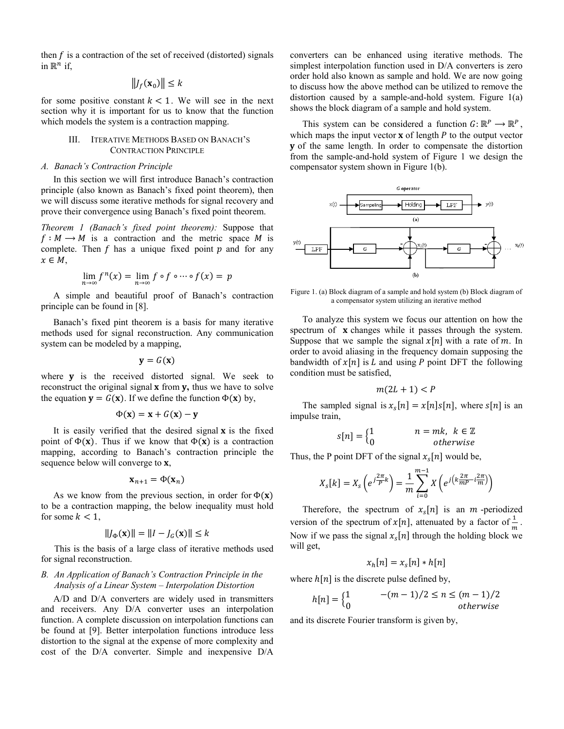then  $f$  is a contraction of the set of received (distorted) signals in  $\mathbb{R}^n$  if.

$$
\left\|J_f(\mathbf{x}_0)\right\| \leq k
$$

for some positive constant  $k < 1$ . We will see in the next section why it is important for us to know that the function which models the system is a contraction mapping.

## III. ITERATIVE METHODS BASED ON BANACH'S **CONTRACTION PRINCIPLE**

## A. Banach's Contraction Principle

In this section we will first introduce Banach's contraction principle (also known as Banach's fixed point theorem), then we will discuss some iterative methods for signal recovery and prove their convergence using Banach's fixed point theorem.

Theorem 1 (Banach's fixed point theorem): Suppose that  $f : M \longrightarrow M$  is a contraction and the metric space M is complete. Then  $f$  has a unique fixed point  $p$  and for any  $x \in M$ .

$$
\lim_{n\to\infty}f^n(x)=\lim_{n\to\infty}f\circ f\circ\cdots\circ f(x)=p
$$

A simple and beautiful proof of Banach's contraction principle can be found in [8].

Banach's fixed pint theorem is a basis for many iterative methods used for signal reconstruction. Any communication system can be modeled by a mapping,

$$
\mathbf{y}=G(\mathbf{x})
$$

where **y** is the received distorted signal. We seek to reconstruct the original signal x from y, thus we have to solve the equation  $y = G(x)$ . If we define the function  $\Phi(x)$  by,

$$
\Phi(\mathbf{x}) = \mathbf{x} + G(\mathbf{x}) - \mathbf{y}
$$

It is easily verified that the desired signal  $x$  is the fixed point of  $\Phi(\mathbf{x})$ . Thus if we know that  $\Phi(\mathbf{x})$  is a contraction mapping, according to Banach's contraction principle the sequence below will converge to **x**,

$$
\mathbf{x}_{n+1} = \Phi(\mathbf{x}_n)
$$

As we know from the previous section, in order for  $\Phi(\mathbf{x})$ to be a contraction mapping, the below inequality must hold for some  $k < 1$ ,

$$
||J_{\Phi}(\mathbf{x})|| = ||I - J_G(\mathbf{x})|| \le k
$$

This is the basis of a large class of iterative methods used for signal reconstruction.

## B. An Application of Banach's Contraction Principle in the Analysis of a Linear System - Interpolation Distortion

A/D and D/A converters are widely used in transmitters and receivers. Any D/A converter uses an interpolation function. A complete discussion on interpolation functions can be found at [9]. Better interpolation functions introduce less distortion to the signal at the expense of more complexity and cost of the D/A converter. Simple and inexpensive D/A

converters can be enhanced using iterative methods. The simplest interpolation function used in D/A converters is zero order hold also known as sample and hold. We are now going to discuss how the above method can be utilized to remove the distortion caused by a sample-and-hold system. Figure  $1(a)$ shows the block diagram of a sample and hold system.

This system can be considered a function  $G: \mathbb{R}^P \to \mathbb{R}^P$ , which maps the input vector  $x$  of length  $P$  to the output vector y of the same length. In order to compensate the distortion from the sample-and-hold system of Figure 1 we design the compensator system shown in Figure 1(b).



Figure 1. (a) Block diagram of a sample and hold system (b) Block diagram of a compensator system utilizing an iterative method

To analyze this system we focus our attention on how the spectrum of x changes while it passes through the system. Suppose that we sample the signal  $x[n]$  with a rate of m. In order to avoid aliasing in the frequency domain supposing the bandwidth of  $x[n]$  is L and using P point DFT the following condition must be satisfied.

$$
m(2L+1) < P
$$

The sampled signal is  $x_s[n] = x[n]s[n]$ , where  $s[n]$  is an impulse train,

$$
s[n] = \begin{cases} 1 & n = mk, \ k \in \mathbb{Z} \\ 0 & otherwise \end{cases}
$$

Thus, the P point DFT of the signal  $x_s[n]$  would be,

$$
X_s[k] = X_s\left(e^{j\frac{2\pi}{p}k}\right) = \frac{1}{m}\sum_{i=0}^{m-1} X\left(e^{j\left(k\frac{2\pi}{m^p}-i\frac{2\pi}{m}\right)}\right)
$$

Therefore, the spectrum of  $x_s[n]$  is an m-periodized version of the spectrum of  $x[n]$ , attenuated by a factor of  $\frac{1}{m}$ .<br>Now if we pass the signal  $x_s[n]$  through the holding block we will get,

$$
x_h[n] = x_s[n] * h[n]
$$

where  $h[n]$  is the discrete pulse defined by,

$$
h[n] = \begin{cases} 1 & -(m-1)/2 \le n \le (m-1)/2 \\ 0 & \text{otherwise} \end{cases}
$$

and its discrete Fourier transform is given by,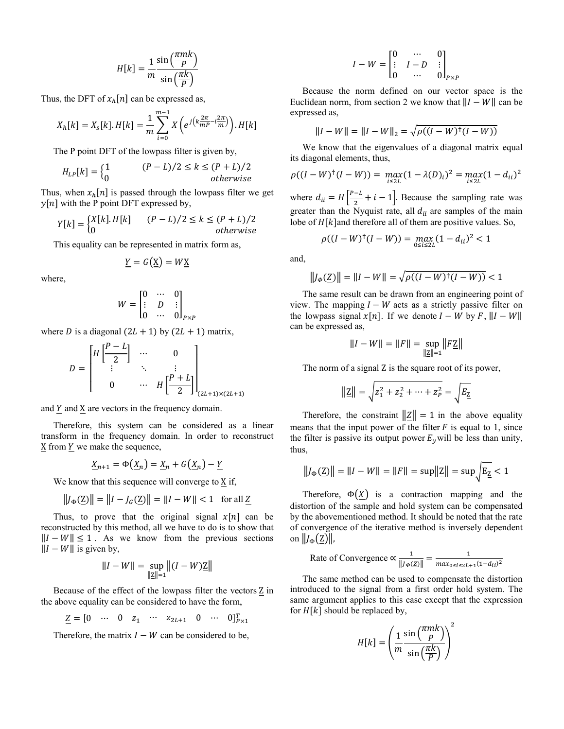$$
H[k] = \frac{1}{m} \frac{\sin\left(\frac{\pi mk}{P}\right)}{\sin\left(\frac{\pi k}{P}\right)}
$$

Thus, the DFT of  $x_h[n]$  can be expressed as,

$$
X_h[k] = X_s[k]. H[k] = \frac{1}{m} \sum_{i=0}^{m-1} X\left(e^{j\left(k\frac{2\pi}{m^2} - i\frac{2\pi}{m}\right)}\right). H[k]
$$

The P point DFT of the lowpass filter is given by,

$$
H_{LP}[k] = \begin{cases} 1 & (P - L)/2 \le k \le (P + L)/2 \\ 0 & otherwise \end{cases}
$$

Thus, when  $x_h[n]$  is passed through the lowpass filter we get  $y[n]$  with the P point DFT expressed by,

$$
Y[k] = \begin{cases} X[k]. H[k] & (P - L)/2 \le k \le (P + L)/2\\ 0 & \text{otherwise} \end{cases}
$$

This equality can be represented in matrix form as,

$$
\underline{Y} = G(\underline{X}) = W \underline{X}
$$

where,

$$
W = \begin{bmatrix} 0 & \cdots & 0 \\ \vdots & D & \vdots \\ 0 & \cdots & 0 \end{bmatrix}_{P \times P}
$$

where *D* is a diagonal  $(2L + 1)$  by  $(2L + 1)$  matrix,

$$
D = \begin{bmatrix} H \begin{bmatrix} P-L \\ 2 \end{bmatrix} & \cdots & 0 \\ \vdots & \ddots & \vdots \\ 0 & \cdots & H \begin{bmatrix} P+L \\ 2 \end{bmatrix} \end{bmatrix}_{(2L+1)\times(2L+1)}
$$

and  $\underline{Y}$  and  $\underline{X}$  are vectors in the frequency domain.

Therefore, this system can be considered as a linear transform in the frequency domain. In order to reconstruct  $X$  from  $Y$  we make the sequence,

$$
\underline{X}_{n+1} = \Phi(\underline{X}_n) = \underline{X}_n + G(\underline{X}_n) - \underline{Y}
$$

We know that this sequence will converge to X if,

$$
\left\|J_{\Phi}(\underline{Z})\right\| = \left\|I - J_{G}(\underline{Z})\right\| = \left\|I - W\right\| < 1 \quad \text{for all } \underline{Z}
$$

Thus, to prove that the original signal  $x[n]$  can be reconstructed by this method, all we have to do is to show that  $||I - W|| \le 1$ . As we know from the previous sections  $||I - W||$  is given by,

$$
||I - W|| = \sup_{\|\underline{Z}\|=1} ||(I - W)\underline{Z}||
$$

Because of the effect of the lowpass filter the vectors Z in the above equality can be considered to have the form,

$$
\underline{Z} = \begin{bmatrix} 0 & \cdots & 0 & z_1 & \cdots & z_{2L+1} & 0 & \cdots & 0 \end{bmatrix}_{P \times 1}^T
$$

Therefore, the matrix  $I - W$  can be considered to be,

$$
I - W = \begin{bmatrix} 0 & \cdots & 0 \\ \vdots & I - D & \vdots \\ 0 & \cdots & 0 \end{bmatrix}_{P \times P}
$$

Because the norm defined on our vector space is the Euclidean norm, from section 2 we know that  $||I - W||$  can be expressed as,

$$
||I - W|| = ||I - W||_2 = \sqrt{\rho((I - W)^{\dagger}(I - W))}
$$

We know that the eigenvalues of a diagonal matrix equal its diagonal elements, thus,

$$
\rho((I - W)^{\dagger}(I - W)) = \max_{i \le 2L} (1 - \lambda(D)_i)^2 = \max_{i \le 2L} (1 - d_{ii})^2
$$

where  $d_{ii} = H\left[\frac{P-L}{2} + i - 1\right]$ . Because the sampling rate was greater than the Nyquist rate, all  $d_{ii}$  are samples of the main lobe of  $H[k]$  and therefore all of them are positive values. So,

$$
\rho((I - W)^{\dagger}(I - W)) = \max_{0 \le i \le 2L} (1 - d_{ii})^2 < 1
$$

and,

$$
||J_{\Phi}(\underline{Z})|| = ||I - W|| = \sqrt{\rho((I - W)^{+}(I - W))} < 1
$$

The same result can be drawn from an engineering point of view. The mapping  $I - W$  acts as a strictly passive filter on the lowpass signal  $x[n]$ . If we denote  $I - W$  by  $F$ ,  $\|I - W\|$ can be expressed as,

$$
||I - W|| = ||F|| = \sup_{||\underline{\mathbf{Z}}|| = 1} ||F\underline{\mathbf{Z}}||
$$

The norm of a signal  $\underline{Z}$  is the square root of its power,

$$
\|\underline{z}\| = \sqrt{z_1^2 + z_2^2 + \dots + z_p^2} = \sqrt{E_{\underline{z}}}
$$

Therefore, the constraint  $\|\underline{Z}\| = 1$  in the above equality means that the input power of the filter  $F$  is equal to 1, since the filter is passive its output power  $E_y$  will be less than unity, thus,

$$
||J_{\Phi}(\underline{Z})|| = ||I - W|| = ||F|| = \sup \|\underline{Z}\| = \sup \sqrt{E_{\underline{Z}}} < 1
$$

Therefore,  $\Phi(\underline{X})$  is a contraction mapping and the distortion of the sample and hold system can be compensated by the abovementioned method. It should be noted that the rate of convergence of the iterative method is inversely dependent on  $||J_{\Phi}(\underline{Z})||$ ,

Rate of Convergence 
$$
\propto \frac{1}{\|J_{\Phi}(\underline{Z})\|} = \frac{1}{\max_{0 \le i \le 2L+1} (1 - d_{ii})^2}
$$

The same method can be used to compensate the distortion introduced to the signal from a first order hold system. The same argument applies to this case except that the expression for  $H[k]$  should be replaced by,

$$
H[k] = \left(\frac{1}{m} \frac{\sin\left(\frac{\pi mk}{P}\right)}{\sin\left(\frac{\pi k}{P}\right)}\right)^2
$$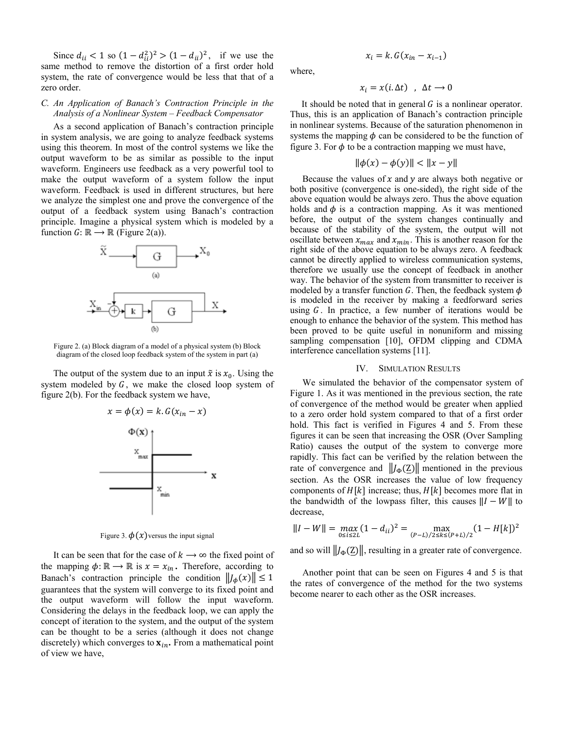Since  $d_{ii} < 1$  so  $(1 - d_{ii}^2)^2 > (1 - d_{ii})^2$ , if we use the same method to remove the distortion of a first order hold system, the rate of convergence would be less that that of a zero order.

## C. An Application of Banach's Contraction Principle in the Analysis of a Nonlinear System – Feedback Compensator

As a second application of Banach's contraction principle in system analysis, we are going to analyze feedback systems using this theorem. In most of the control systems we like the output waveform to be as similar as possible to the input waveform. Engineers use feedback as a very powerful tool to make the output waveform of a system follow the input waveform. Feedback is used in different structures, but here we analyze the simplest one and prove the convergence of the output of a feedback system using Banach's contraction principle. Imagine a physical system which is modeled by a function  $G: \mathbb{R} \longrightarrow \mathbb{R}$  (Figure 2(a)).



Figure 2. (a) Block diagram of a model of a physical system (b) Block diagram of the closed loop feedback system of the system in part (a)

The output of the system due to an input  $\tilde{x}$  is  $x_0$ . Using the system modeled by  $G$ , we make the closed loop system of figure 2(b). For the feedback system we have,



Figure 3.  $\phi(x)$  versus the input signal

It can be seen that for the case of  $k \rightarrow \infty$  the fixed point of the mapping  $\phi: \mathbb{R} \to \mathbb{R}$  is  $x = x_{in}$ . Therefore, according to Banach's contraction principle the condition  $||J_{\phi}(x)|| \le 1$ guarantees that the system will converge to its fixed point and the output waveform will follow the input waveform. Considering the delays in the feedback loop, we can apply the concept of iteration to the system, and the output of the system can be thought to be a series (although it does not change discretely) which converges to  $x_{in}$ . From a mathematical point of view we have,

$$
x_i = k \cdot G(x_{in} - x_{i-1})
$$

where,

$$
x_i = x(i.\Delta t) , \Delta t \rightarrow 0
$$

It should be noted that in general  $G$  is a nonlinear operator. Thus, this is an application of Banach's contraction principle in nonlinear systems. Because of the saturation phenomenon in systems the mapping  $\phi$  can be considered to be the function of figure 3. For  $\phi$  to be a contraction mapping we must have,

$$
\|\phi(x) - \phi(y)\| < \|x - y\|
$$

Because the values of  $x$  and  $y$  are always both negative or both positive (convergence is one-sided), the right side of the above equation would be always zero. Thus the above equation holds and  $\phi$  is a contraction mapping. As it was mentioned before, the output of the system changes continually and because of the stability of the system, the output will not oscillate between  $x_{max}$  and  $x_{min}$ . This is another reason for the right side of the above equation to be always zero. A feedback cannot be directly applied to wireless communication systems, therefore we usually use the concept of feedback in another way. The behavior of the system from transmitter to receiver is modeled by a transfer function G. Then, the feedback system  $\phi$ is modeled in the receiver by making a feedforward series using  $G$ . In practice, a few number of iterations would be enough to enhance the behavior of the system. This method has been proved to be quite useful in nonuniform and missing sampling compensation [10], OFDM clipping and CDMA interference cancellation systems [11].

## **IV. SIMULATION RESULTS**

We simulated the behavior of the compensator system of Figure 1. As it was mentioned in the previous section, the rate of convergence of the method would be greater when applied to a zero order hold system compared to that of a first order hold. This fact is verified in Figures 4 and 5. From these figures it can be seen that increasing the OSR (Over Sampling Ratio) causes the output of the system to converge more rapidly. This fact can be verified by the relation between the rate of convergence and  $||J_{\Phi}(\underline{Z})||$  mentioned in the previous section. As the OSR increases the value of low frequency components of  $H[k]$  increase; thus,  $H[k]$  becomes more flat in the bandwidth of the lowpass filter, this causes  $||I - W||$  to decrease,

$$
||I - W|| = \max_{0 \leq i \leq 2L} (1 - d_{ii})^2 = \max_{(P-L)/2 \leq k \leq (P+L)/2} (1 - H[k])^2
$$

and so will  $||J_{\Phi}(\mathbf{Z})||$ , resulting in a greater rate of convergence.

Another point that can be seen on Figures 4 and 5 is that the rates of convergence of the method for the two systems become nearer to each other as the OSR increases.